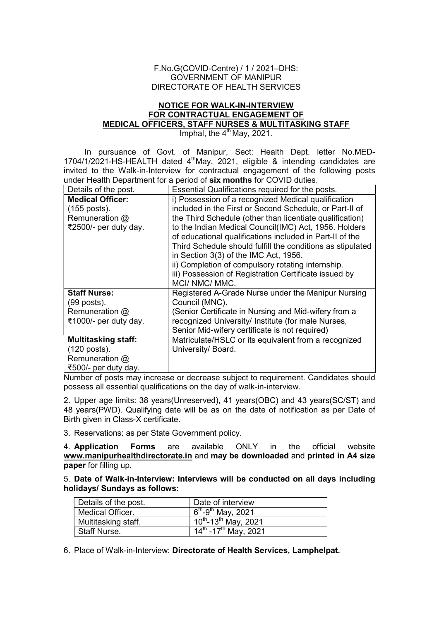## F.No.G(COVID-Centre) / 1 / 2021–DHS: GOVERNMENT OF MANIPUR DIRECTORATE OF HEALTH SERVICES

## NOTICE FOR WALK-IN-INTERVIEW FOR CONTRACTUAL ENGAGEMENT OF MEDICAL OFFICERS, STAFF NURSES & MULTITASKING STAFF

Imphal, the  $4<sup>th</sup>$  May, 2021.

In pursuance of Govt. of Manipur, Sect: Health Dept. letter No.MED-1704/1/2021-HS-HEALTH dated 4thMay, 2021, eligible & intending candidates are invited to the Walk-in-Interview for contractual engagement of the following posts under Health Department for a period of six months for COVID duties.

| Details of the post.       | Essential Qualifications required for the posts.           |
|----------------------------|------------------------------------------------------------|
| <b>Medical Officer:</b>    | i) Possession of a recognized Medical qualification        |
| (155 posts).               | included in the First or Second Schedule, or Part-II of    |
| Remuneration $@$           | the Third Schedule (other than licentiate qualification)   |
| ₹2500/- per duty day.      | to the Indian Medical Council(IMC) Act, 1956. Holders      |
|                            | of educational qualifications included in Part-II of the   |
|                            | Third Schedule should fulfill the conditions as stipulated |
|                            | in Section 3(3) of the IMC Act, 1956.                      |
|                            | ii) Completion of compulsory rotating internship.          |
|                            | iii) Possession of Registration Certificate issued by      |
|                            | MCI/NMC/MMC.                                               |
| <b>Staff Nurse:</b>        | Registered A-Grade Nurse under the Manipur Nursing         |
| $(99$ posts).              | Council (MNC).                                             |
| Remuneration $@$           | (Senior Certificate in Nursing and Mid-wifery from a       |
| ₹1000/- per duty day.      | recognized University/ Institute (for male Nurses,         |
|                            | Senior Mid-wifery certificate is not required)             |
| <b>Multitasking staff:</b> | Matriculate/HSLC or its equivalent from a recognized       |
| (120 posts).               | University/ Board.                                         |
| Remuneration @             |                                                            |
| ₹500/- per duty day.       |                                                            |

Number of posts may increase or decrease subject to requirement. Candidates should possess all essential qualifications on the day of walk-in-interview.

2. Upper age limits: 38 years(Unreserved), 41 years(OBC) and 43 years(SC/ST) and 48 years(PWD). Qualifying date will be as on the date of notification as per Date of Birth given in Class-X certificate.

3. Reservations: as per State Government policy.

4. Application Forms are available ONLY in the official website www.manipurhealthdirectorate.in and may be downloaded and printed in A4 size paper for filling up.

5. Date of Walk-in-Interview: Interviews will be conducted on all days including holidays/ Sundays as follows:

| Details of the post. | Date of interview                                        |
|----------------------|----------------------------------------------------------|
| Medical Officer.     | $6^{th}$ -9 <sup>th</sup> May, 2021                      |
| Multitasking staff.  | $\sqrt{10^{th}}$ -13 <sup>th</sup> May, 2021             |
| <b>Staff Nurse.</b>  | $\frac{1}{14}$ <sup>th</sup> -17 <sup>th</sup> May, 2021 |

6. Place of Walk-in-Interview: Directorate of Health Services, Lamphelpat.